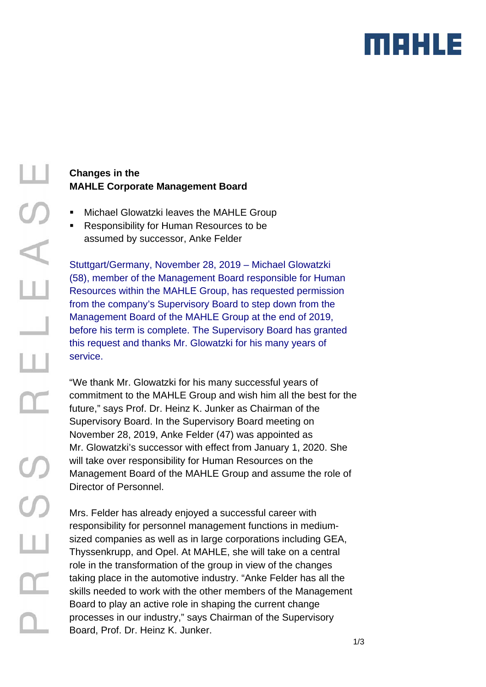

## **Changes in the MAHLE Corporate Management Board**

- Michael Glowatzki leaves the MAHLE Group
- Responsibility for Human Resources to be assumed by successor, Anke Felder

Stuttgart/Germany, November 28, 2019 – Michael Glowatzki (58), member of the Management Board responsible for Human Resources within the MAHLE Group, has requested permission from the company's Supervisory Board to step down from the Management Board of the MAHLE Group at the end of 2019, before his term is complete. The Supervisory Board has granted this request and thanks Mr. Glowatzki for his many years of service.

"We thank Mr. Glowatzki for his many successful years of commitment to the MAHLE Group and wish him all the best for the future," says Prof. Dr. Heinz K. Junker as Chairman of the Supervisory Board. In the Supervisory Board meeting on November 28, 2019, Anke Felder (47) was appointed as Mr. Glowatzki's successor with effect from January 1, 2020. She will take over responsibility for Human Resources on the Management Board of the MAHLE Group and assume the role of Director of Personnel.

Mrs. Felder has already enjoyed a successful career with responsibility for personnel management functions in mediumsized companies as well as in large corporations including GEA, Thyssenkrupp, and Opel. At MAHLE, she will take on a central role in the transformation of the group in view of the changes taking place in the automotive industry. "Anke Felder has all the skills needed to work with the other members of the Management Board to play an active role in shaping the current change processes in our industry," says Chairman of the Supervisory Board, Prof. Dr. Heinz K. Junker.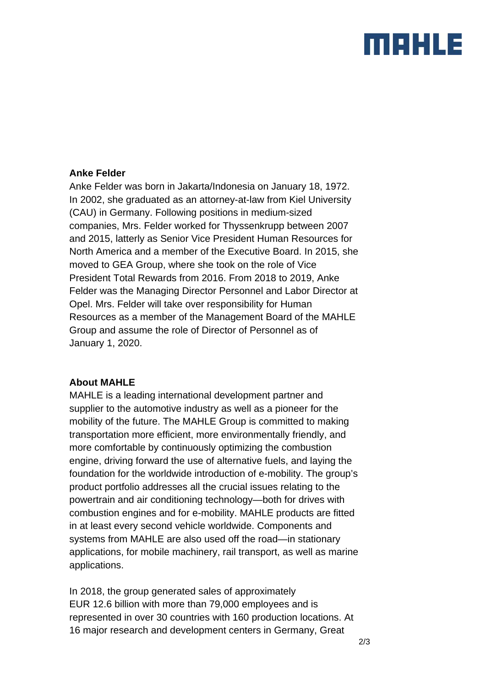# marus

### **Anke Felder**

Anke Felder was born in Jakarta/Indonesia on January 18, 1972. In 2002, she graduated as an attorney-at-law from Kiel University (CAU) in Germany. Following positions in medium-sized companies, Mrs. Felder worked for Thyssenkrupp between 2007 and 2015, latterly as Senior Vice President Human Resources for North America and a member of the Executive Board. In 2015, she moved to GEA Group, where she took on the role of Vice President Total Rewards from 2016. From 2018 to 2019, Anke Felder was the Managing Director Personnel and Labor Director at Opel. Mrs. Felder will take over responsibility for Human Resources as a member of the Management Board of the MAHLE Group and assume the role of Director of Personnel as of January 1, 2020.

## **About MAHLE**

MAHLE is a leading international development partner and supplier to the automotive industry as well as a pioneer for the mobility of the future. The MAHLE Group is committed to making transportation more efficient, more environmentally friendly, and more comfortable by continuously optimizing the combustion engine, driving forward the use of alternative fuels, and laying the foundation for the worldwide introduction of e-mobility. The group's product portfolio addresses all the crucial issues relating to the powertrain and air conditioning technology—both for drives with combustion engines and for e-mobility. MAHLE products are fitted in at least every second vehicle worldwide. Components and systems from MAHLE are also used off the road—in stationary applications, for mobile machinery, rail transport, as well as marine applications.

In 2018, the group generated sales of approximately EUR 12.6 billion with more than 79,000 employees and is represented in over 30 countries with 160 production locations. At 16 major research and development centers in Germany, Great